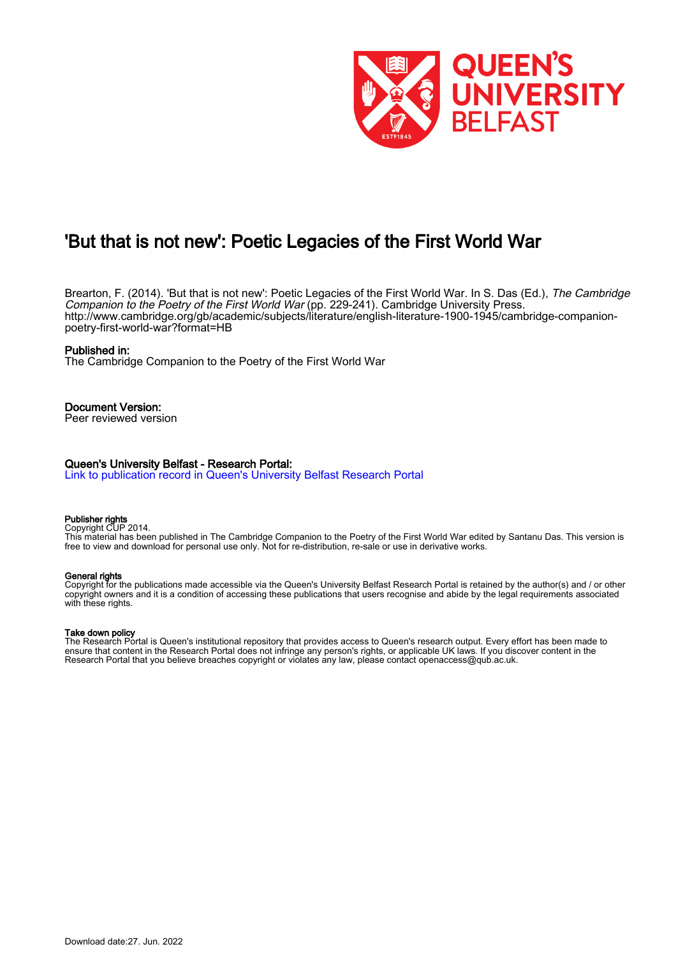

# 'But that is not new': Poetic Legacies of the First World War

Brearton, F. (2014). 'But that is not new': Poetic Legacies of the First World War. In S. Das (Ed.), *The Cambridge* Companion to the Poetry of the First World War (pp. 229-241). Cambridge University Press. [http://www.cambridge.org/gb/academic/subjects/literature/english-literature-1900-1945/cambridge-companion](http://www.cambridge.org/gb/academic/subjects/literature/english-literature-1900-1945/cambridge-companion-poetry-first-world-war?format=HB)[poetry-first-world-war?format=HB](http://www.cambridge.org/gb/academic/subjects/literature/english-literature-1900-1945/cambridge-companion-poetry-first-world-war?format=HB)

## Published in:

The Cambridge Companion to the Poetry of the First World War

# Document Version:

Peer reviewed version

# Queen's University Belfast - Research Portal:

[Link to publication record in Queen's University Belfast Research Portal](https://pure.qub.ac.uk/en/publications/662364a7-9c55-458a-8da4-33b3d5617e67)

#### Publisher rights

Copyright CUP 2014. This material has been published in The Cambridge Companion to the Poetry of the First World War edited by Santanu Das. This version is free to view and download for personal use only. Not for re-distribution, re-sale or use in derivative works.

#### General rights

Copyright for the publications made accessible via the Queen's University Belfast Research Portal is retained by the author(s) and / or other copyright owners and it is a condition of accessing these publications that users recognise and abide by the legal requirements associated with these rights.

## Take down policy

The Research Portal is Queen's institutional repository that provides access to Queen's research output. Every effort has been made to ensure that content in the Research Portal does not infringe any person's rights, or applicable UK laws. If you discover content in the Research Portal that you believe breaches copyright or violates any law, please contact openaccess@qub.ac.uk.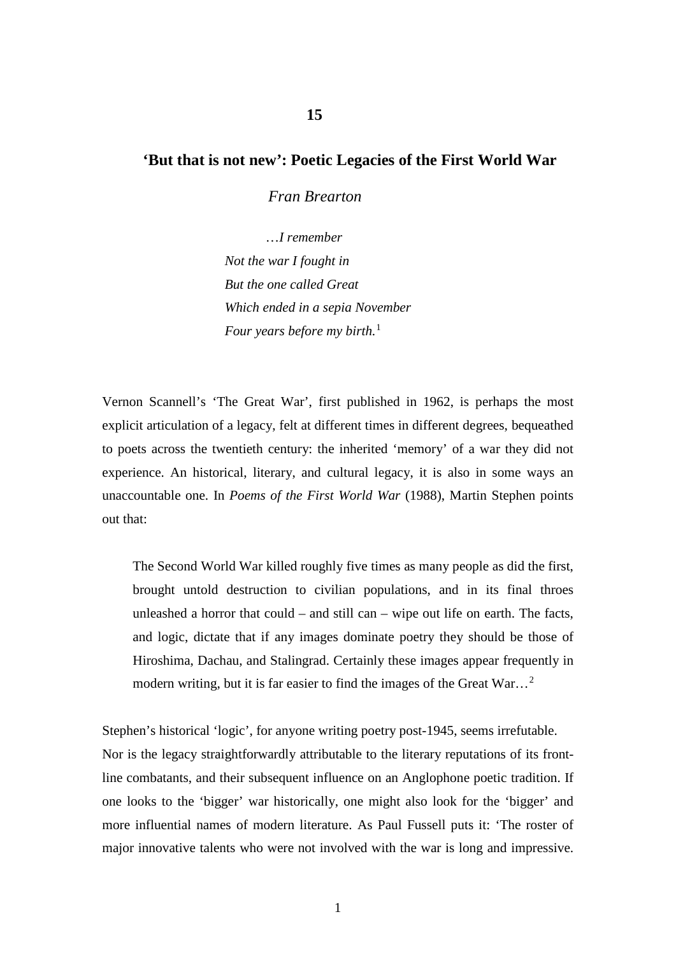# **'But that is not new': Poetic Legacies of the First World War**

*Fran Brearton*

…*I remember*

*Not the war I fought in But the one called Great Which ended in a sepia November Four years before my birth.*[1](#page-2-0)

Vernon Scannell's 'The Great War', first published in 1962, is perhaps the most explicit articulation of a legacy, felt at different times in different degrees, bequeathed to poets across the twentieth century: the inherited 'memory' of a war they did not experience. An historical, literary, and cultural legacy, it is also in some ways an unaccountable one. In *Poems of the First World War* (1988), Martin Stephen points out that:

The Second World War killed roughly five times as many people as did the first, brought untold destruction to civilian populations, and in its final throes unleashed a horror that could – and still can – wipe out life on earth. The facts, and logic, dictate that if any images dominate poetry they should be those of Hiroshima, Dachau, and Stalingrad. Certainly these images appear frequently in modern writing, but it is far easier to find the images of the Great War...<sup>[2](#page-2-1)</sup>

Stephen's historical 'logic', for anyone writing poetry post-1945, seems irrefutable. Nor is the legacy straightforwardly attributable to the literary reputations of its frontline combatants, and their subsequent influence on an Anglophone poetic tradition. If one looks to the 'bigger' war historically, one might also look for the 'bigger' and more influential names of modern literature. As Paul Fussell puts it: 'The roster of major innovative talents who were not involved with the war is long and impressive.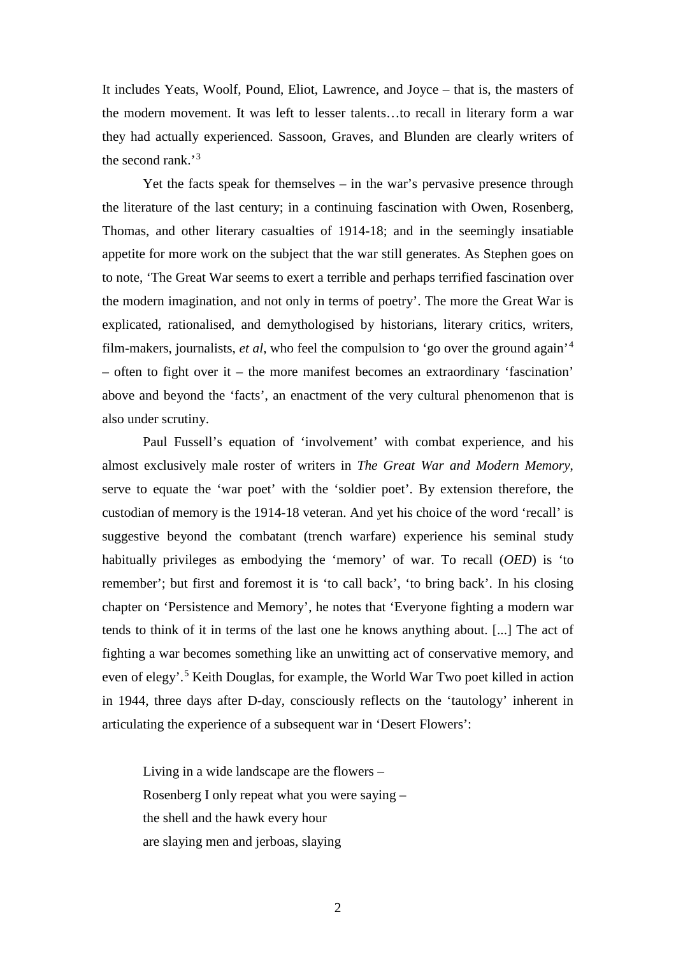It includes Yeats, Woolf, Pound, Eliot, Lawrence, and Joyce – that is, the masters of the modern movement. It was left to lesser talents…to recall in literary form a war they had actually experienced. Sassoon, Graves, and Blunden are clearly writers of the second rank  $^{3}$  $^{3}$  $^{3}$ 

<span id="page-2-1"></span><span id="page-2-0"></span>Yet the facts speak for themselves  $-$  in the war's pervasive presence through the literature of the last century; in a continuing fascination with Owen, Rosenberg, Thomas, and other literary casualties of 1914-18; and in the seemingly insatiable appetite for more work on the subject that the war still generates. As Stephen goes on to note, 'The Great War seems to exert a terrible and perhaps terrified fascination over the modern imagination, and not only in terms of poetry'. The more the Great War is explicated, rationalised, and demythologised by historians, literary critics, writers, film-makers, journalists, *et al*, who feel the compulsion to 'go over the ground again'[4](#page-3-1) – often to fight over it – the more manifest becomes an extraordinary 'fascination' above and beyond the 'facts', an enactment of the very cultural phenomenon that is also under scrutiny.

Paul Fussell's equation of 'involvement' with combat experience, and his almost exclusively male roster of writers in *The Great War and Modern Memory*, serve to equate the 'war poet' with the 'soldier poet'. By extension therefore, the custodian of memory is the 1914-18 veteran. And yet his choice of the word 'recall' is suggestive beyond the combatant (trench warfare) experience his seminal study habitually privileges as embodying the 'memory' of war. To recall (*OED*) is 'to remember'; but first and foremost it is 'to call back', 'to bring back'. In his closing chapter on 'Persistence and Memory', he notes that 'Everyone fighting a modern war tends to think of it in terms of the last one he knows anything about. [...] The act of fighting a war becomes something like an unwitting act of conservative memory, and even of elegy'.<sup>[5](#page-3-2)</sup> Keith Douglas, for example, the World War Two poet killed in action in 1944, three days after D-day, consciously reflects on the 'tautology' inherent in articulating the experience of a subsequent war in 'Desert Flowers':

Living in a wide landscape are the flowers – Rosenberg I only repeat what you were saying – the shell and the hawk every hour are slaying men and jerboas, slaying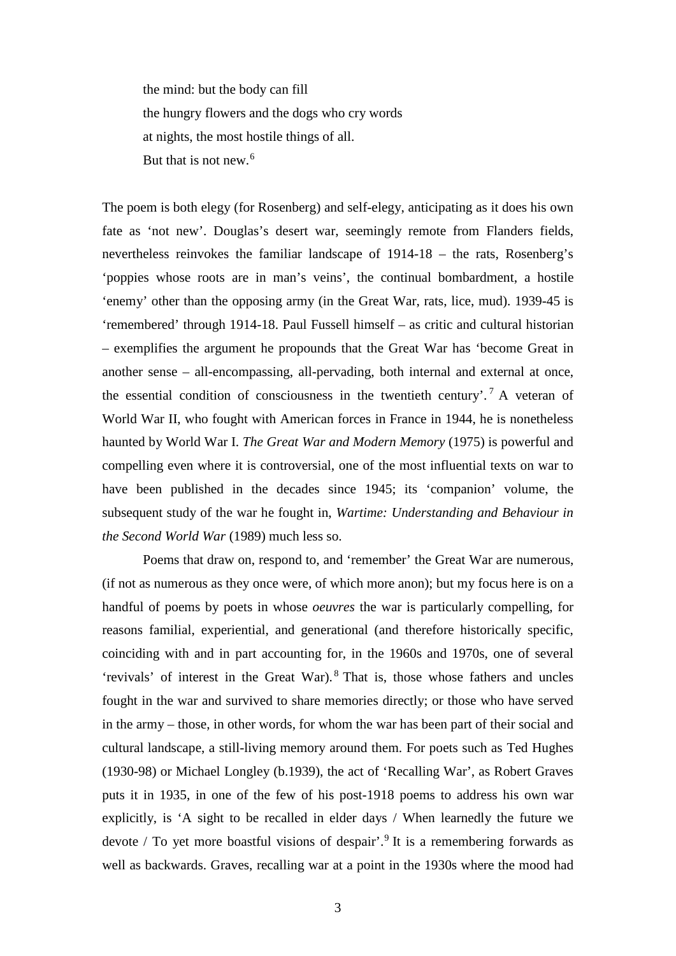the mind: but the body can fill the hungry flowers and the dogs who cry words at nights, the most hostile things of all. But that is not new.<sup>[6](#page-4-0)</sup>

<span id="page-3-2"></span><span id="page-3-1"></span><span id="page-3-0"></span>The poem is both elegy (for Rosenberg) and self-elegy, anticipating as it does his own fate as 'not new'. Douglas's desert war, seemingly remote from Flanders fields, nevertheless reinvokes the familiar landscape of 1914-18 – the rats, Rosenberg's 'poppies whose roots are in man's veins', the continual bombardment, a hostile 'enemy' other than the opposing army (in the Great War, rats, lice, mud). 1939-45 is 'remembered' through 1914-18. Paul Fussell himself – as critic and cultural historian – exemplifies the argument he propounds that the Great War has 'become Great in another sense – all-encompassing, all-pervading, both internal and external at once, the essential condition of consciousness in the twentieth century'.<sup>[7](#page-4-1)</sup> A veteran of World War II, who fought with American forces in France in 1944, he is nonetheless haunted by World War I. *The Great War and Modern Memory* (1975) is powerful and compelling even where it is controversial, one of the most influential texts on war to have been published in the decades since 1945; its 'companion' volume, the subsequent study of the war he fought in, *Wartime: Understanding and Behaviour in the Second World War* (1989) much less so.

Poems that draw on, respond to, and 'remember' the Great War are numerous, (if not as numerous as they once were, of which more anon); but my focus here is on a handful of poems by poets in whose *oeuvres* the war is particularly compelling, for reasons familial, experiential, and generational (and therefore historically specific, coinciding with and in part accounting for, in the 1960s and 1970s, one of several 'revivals' of interest in the Great War). [8](#page-4-2) That is, those whose fathers and uncles fought in the war and survived to share memories directly; or those who have served in the army – those, in other words, for whom the war has been part of their social and cultural landscape, a still-living memory around them. For poets such as Ted Hughes (1930-98) or Michael Longley (b.1939), the act of 'Recalling War', as Robert Graves puts it in 1935, in one of the few of his post-1918 poems to address his own war explicitly, is 'A sight to be recalled in elder days / When learnedly the future we devote / To yet more boastful visions of despair'.<sup>[9](#page-4-3)</sup> It is a remembering forwards as well as backwards. Graves, recalling war at a point in the 1930s where the mood had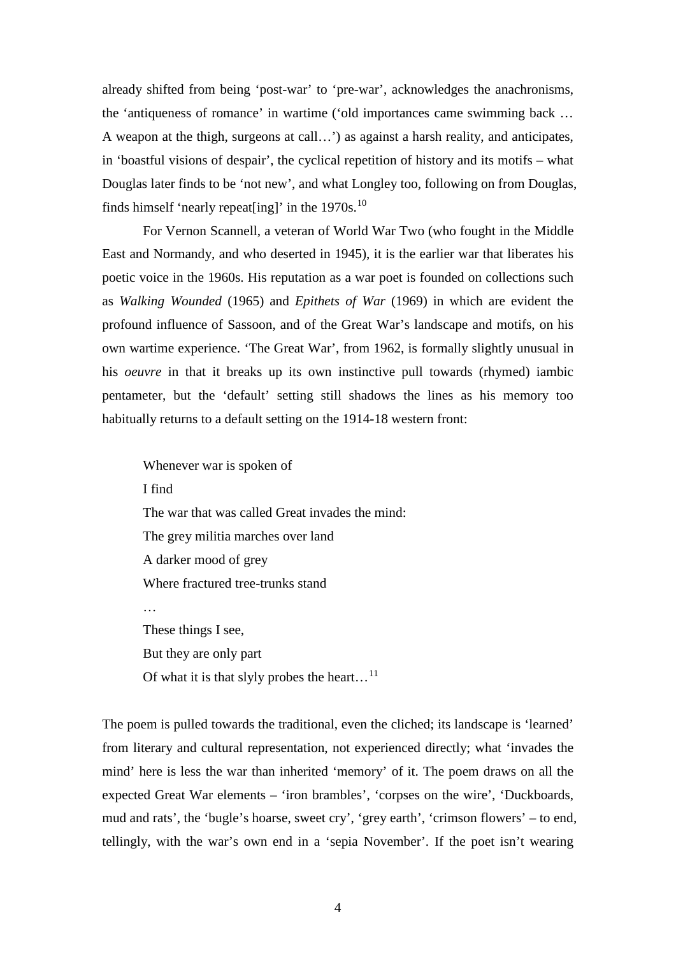already shifted from being 'post-war' to 'pre-war', acknowledges the anachronisms, the 'antiqueness of romance' in wartime ('old importances came swimming back … A weapon at the thigh, surgeons at call…') as against a harsh reality, and anticipates, in 'boastful visions of despair', the cyclical repetition of history and its motifs – what Douglas later finds to be 'not new', and what Longley too, following on from Douglas, finds himself 'nearly repeat[ing]' in the 1970s.<sup>[10](#page-5-0)</sup>

For Vernon Scannell, a veteran of World War Two (who fought in the Middle East and Normandy, and who deserted in 1945), it is the earlier war that liberates his poetic voice in the 1960s. His reputation as a war poet is founded on collections such as *Walking Wounded* (1965) and *Epithets of War* (1969) in which are evident the profound influence of Sassoon, and of the Great War's landscape and motifs, on his own wartime experience. 'The Great War', from 1962, is formally slightly unusual in his *oeuvre* in that it breaks up its own instinctive pull towards (rhymed) iambic pentameter, but the 'default' setting still shadows the lines as his memory too habitually returns to a default setting on the 1914-18 western front:

<span id="page-4-3"></span><span id="page-4-2"></span><span id="page-4-1"></span><span id="page-4-0"></span>Whenever war is spoken of I find The war that was called Great invades the mind: The grey militia marches over land A darker mood of grey Where fractured tree-trunks stand … These things I see, But they are only part Of what it is that slyly probes the heart...<sup>[11](#page-5-1)</sup>

The poem is pulled towards the traditional, even the cliched; its landscape is 'learned' from literary and cultural representation, not experienced directly; what 'invades the mind' here is less the war than inherited 'memory' of it. The poem draws on all the expected Great War elements – 'iron brambles', 'corpses on the wire', 'Duckboards, mud and rats', the 'bugle's hoarse, sweet cry', 'grey earth', 'crimson flowers' – to end, tellingly, with the war's own end in a 'sepia November'. If the poet isn't wearing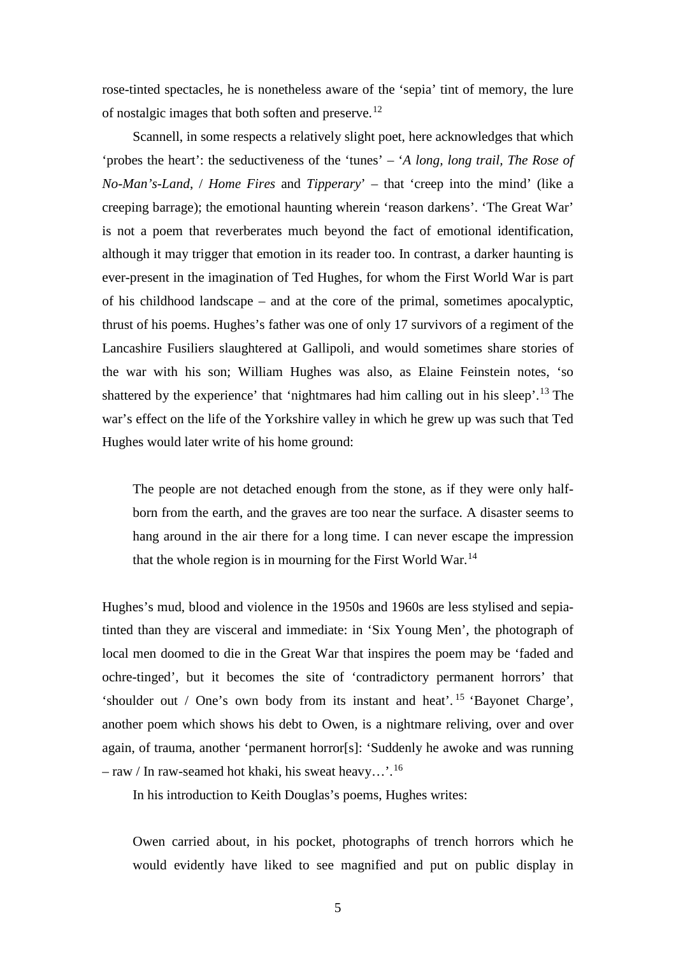rose-tinted spectacles, he is nonetheless aware of the 'sepia' tint of memory, the lure of nostalgic images that both soften and preserve.[12](#page-6-0)

Scannell, in some respects a relatively slight poet, here acknowledges that which 'probes the heart': the seductiveness of the 'tunes' – '*A long, long trail, The Rose of No-Man's-Land*, / *Home Fires* and *Tipperary*' – that 'creep into the mind' (like a creeping barrage); the emotional haunting wherein 'reason darkens'. 'The Great War' is not a poem that reverberates much beyond the fact of emotional identification, although it may trigger that emotion in its reader too. In contrast, a darker haunting is ever-present in the imagination of Ted Hughes, for whom the First World War is part of his childhood landscape – and at the core of the primal, sometimes apocalyptic, thrust of his poems. Hughes's father was one of only 17 survivors of a regiment of the Lancashire Fusiliers slaughtered at Gallipoli, and would sometimes share stories of the war with his son; William Hughes was also, as Elaine Feinstein notes, 'so shattered by the experience' that 'nightmares had him calling out in his sleep'.[13](#page-6-1) The war's effect on the life of the Yorkshire valley in which he grew up was such that Ted Hughes would later write of his home ground:

The people are not detached enough from the stone, as if they were only halfborn from the earth, and the graves are too near the surface. A disaster seems to hang around in the air there for a long time. I can never escape the impression that the whole region is in mourning for the First World War.<sup>[14](#page-6-2)</sup>

<span id="page-5-1"></span><span id="page-5-0"></span>Hughes's mud, blood and violence in the 1950s and 1960s are less stylised and sepiatinted than they are visceral and immediate: in 'Six Young Men', the photograph of local men doomed to die in the Great War that inspires the poem may be 'faded and ochre-tinged', but it becomes the site of 'contradictory permanent horrors' that 'shoulder out / One's own body from its instant and heat'. [15](#page-6-3) 'Bayonet Charge', another poem which shows his debt to Owen, is a nightmare reliving, over and over again, of trauma, another 'permanent horror[s]: 'Suddenly he awoke and was running – raw / In raw-seamed hot khaki, his sweat heavy…'.[16](#page-6-4)

In his introduction to Keith Douglas's poems, Hughes writes:

Owen carried about, in his pocket, photographs of trench horrors which he would evidently have liked to see magnified and put on public display in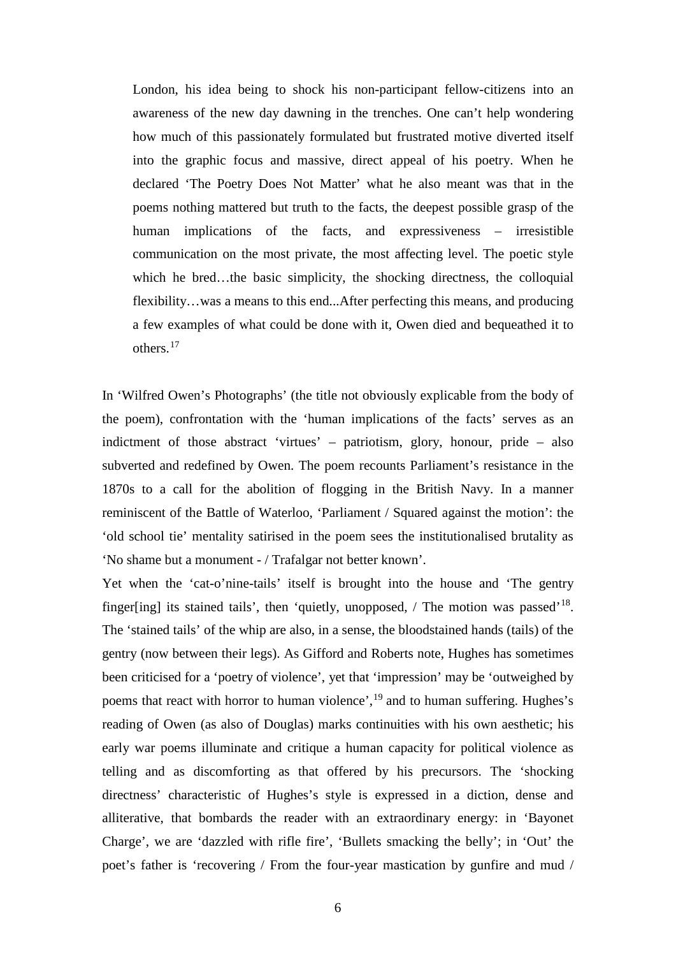London, his idea being to shock his non-participant fellow-citizens into an awareness of the new day dawning in the trenches. One can't help wondering how much of this passionately formulated but frustrated motive diverted itself into the graphic focus and massive, direct appeal of his poetry. When he declared 'The Poetry Does Not Matter' what he also meant was that in the poems nothing mattered but truth to the facts, the deepest possible grasp of the human implications of the facts, and expressiveness – irresistible communication on the most private, the most affecting level. The poetic style which he bred…the basic simplicity, the shocking directness, the colloquial flexibility…was a means to this end...After perfecting this means, and producing a few examples of what could be done with it, Owen died and bequeathed it to others.[17](#page-7-0)

In 'Wilfred Owen's Photographs' (the title not obviously explicable from the body of the poem), confrontation with the 'human implications of the facts' serves as an indictment of those abstract 'virtues' – patriotism, glory, honour, pride – also subverted and redefined by Owen. The poem recounts Parliament's resistance in the 1870s to a call for the abolition of flogging in the British Navy. In a manner reminiscent of the Battle of Waterloo, 'Parliament / Squared against the motion': the 'old school tie' mentality satirised in the poem sees the institutionalised brutality as 'No shame but a monument - / Trafalgar not better known'.

<span id="page-6-4"></span><span id="page-6-3"></span><span id="page-6-2"></span><span id="page-6-1"></span><span id="page-6-0"></span>Yet when the 'cat-o'nine-tails' itself is brought into the house and 'The gentry finger[ing] its stained tails', then 'quietly, unopposed,  $/$  The motion was passed'<sup>[18](#page-7-1)</sup>. The 'stained tails' of the whip are also, in a sense, the bloodstained hands (tails) of the gentry (now between their legs). As Gifford and Roberts note, Hughes has sometimes been criticised for a 'poetry of violence', yet that 'impression' may be 'outweighed by poems that react with horror to human violence',[19](#page-7-2) and to human suffering. Hughes's reading of Owen (as also of Douglas) marks continuities with his own aesthetic; his early war poems illuminate and critique a human capacity for political violence as telling and as discomforting as that offered by his precursors. The 'shocking directness' characteristic of Hughes's style is expressed in a diction, dense and alliterative, that bombards the reader with an extraordinary energy: in 'Bayonet Charge', we are 'dazzled with rifle fire', 'Bullets smacking the belly'; in 'Out' the poet's father is 'recovering / From the four-year mastication by gunfire and mud /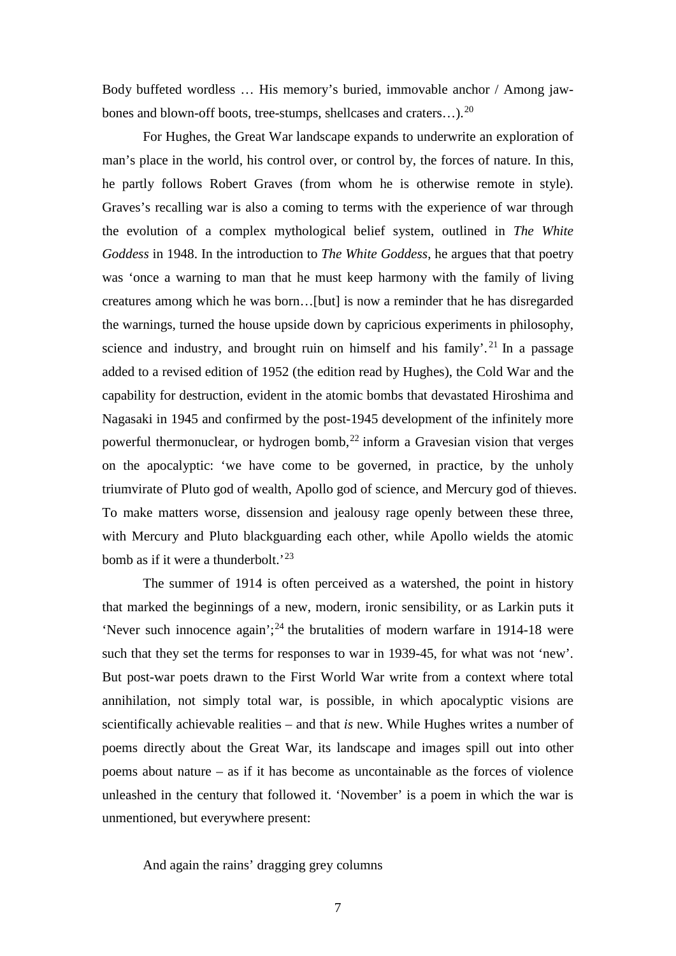Body buffeted wordless … His memory's buried, immovable anchor / Among jawbones and blown-off boots, tree-stumps, shellcases and craters…).[20](#page-8-0)

For Hughes, the Great War landscape expands to underwrite an exploration of man's place in the world, his control over, or control by, the forces of nature. In this, he partly follows Robert Graves (from whom he is otherwise remote in style). Graves's recalling war is also a coming to terms with the experience of war through the evolution of a complex mythological belief system, outlined in *The White Goddess* in 1948. In the introduction to *The White Goddess*, he argues that that poetry was 'once a warning to man that he must keep harmony with the family of living creatures among which he was born…[but] is now a reminder that he has disregarded the warnings, turned the house upside down by capricious experiments in philosophy, science and industry, and brought ruin on himself and his family'.<sup>[21](#page-8-1)</sup> In a passage added to a revised edition of 1952 (the edition read by Hughes), the Cold War and the capability for destruction, evident in the atomic bombs that devastated Hiroshima and Nagasaki in 1945 and confirmed by the post-1945 development of the infinitely more powerful thermonuclear, or hydrogen bomb,  $2<sup>2</sup>$  inform a Gravesian vision that verges on the apocalyptic: 'we have come to be governed, in practice, by the unholy triumvirate of Pluto god of wealth, Apollo god of science, and Mercury god of thieves. To make matters worse, dissension and jealousy rage openly between these three, with Mercury and Pluto blackguarding each other, while Apollo wields the atomic bomb as if it were a thunderbolt.<sup>'[23](#page-8-3)</sup>

The summer of 1914 is often perceived as a watershed, the point in history that marked the beginnings of a new, modern, ironic sensibility, or as Larkin puts it 'Never such innocence again';  $24$  the brutalities of modern warfare in 1914-18 were such that they set the terms for responses to war in 1939-45, for what was not 'new'. But post-war poets drawn to the First World War write from a context where total annihilation, not simply total war, is possible, in which apocalyptic visions are scientifically achievable realities – and that *is* new. While Hughes writes a number of poems directly about the Great War, its landscape and images spill out into other poems about nature – as if it has become as uncontainable as the forces of violence unleashed in the century that followed it. 'November' is a poem in which the war is unmentioned, but everywhere present:

<span id="page-7-2"></span><span id="page-7-1"></span><span id="page-7-0"></span>And again the rains' dragging grey columns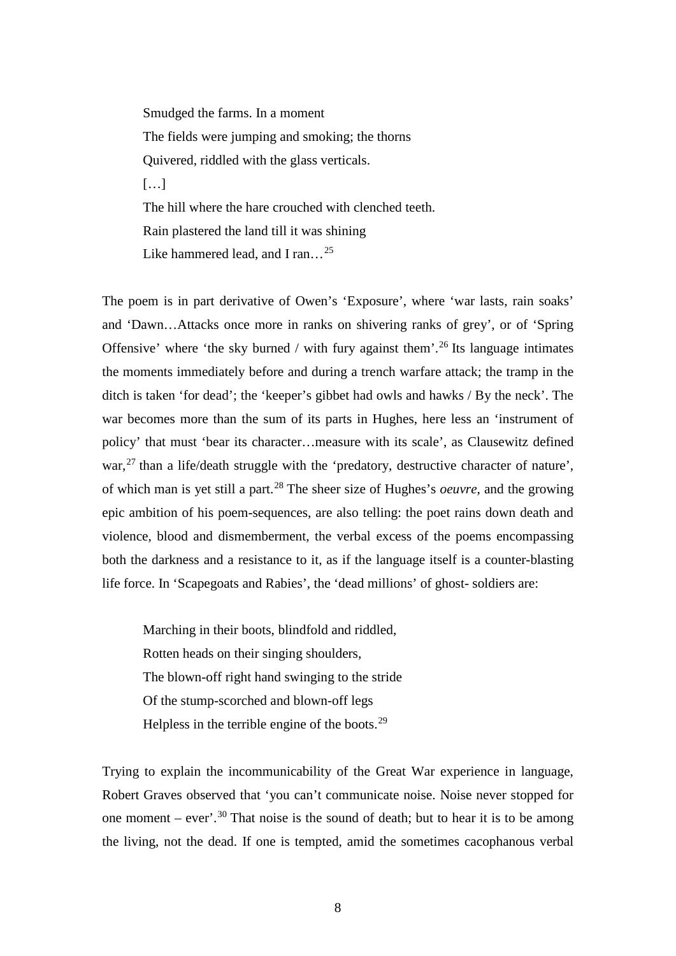<span id="page-8-2"></span><span id="page-8-1"></span><span id="page-8-0"></span>Smudged the farms. In a moment The fields were jumping and smoking; the thorns Quivered, riddled with the glass verticals. […] The hill where the hare crouched with clenched teeth. Rain plastered the land till it was shining Like hammered lead, and I ran...<sup>[25](#page-9-0)</sup>

<span id="page-8-4"></span><span id="page-8-3"></span>The poem is in part derivative of Owen's 'Exposure', where 'war lasts, rain soaks' and 'Dawn…Attacks once more in ranks on shivering ranks of grey', or of 'Spring Offensive' where 'the sky burned / with fury against them'.<sup>[26](#page-9-1)</sup> Its language intimates the moments immediately before and during a trench warfare attack; the tramp in the ditch is taken 'for dead'; the 'keeper's gibbet had owls and hawks / By the neck'. The war becomes more than the sum of its parts in Hughes, here less an 'instrument of policy' that must 'bear its character…measure with its scale', as Clausewitz defined war,<sup>[27](#page-9-2)</sup> than a life/death struggle with the 'predatory, destructive character of nature', of which man is yet still a part.[28](#page-9-3) The sheer size of Hughes's *oeuvre*, and the growing epic ambition of his poem-sequences, are also telling: the poet rains down death and violence, blood and dismemberment, the verbal excess of the poems encompassing both the darkness and a resistance to it, as if the language itself is a counter-blasting life force. In 'Scapegoats and Rabies', the 'dead millions' of ghost- soldiers are:

Marching in their boots, blindfold and riddled, Rotten heads on their singing shoulders, The blown-off right hand swinging to the stride Of the stump-scorched and blown-off legs Helpless in the terrible engine of the boots.<sup>[29](#page-9-4)</sup>

Trying to explain the incommunicability of the Great War experience in language, Robert Graves observed that 'you can't communicate noise. Noise never stopped for one moment – ever'.<sup>[30](#page-9-5)</sup> That noise is the sound of death; but to hear it is to be among the living, not the dead. If one is tempted, amid the sometimes cacophanous verbal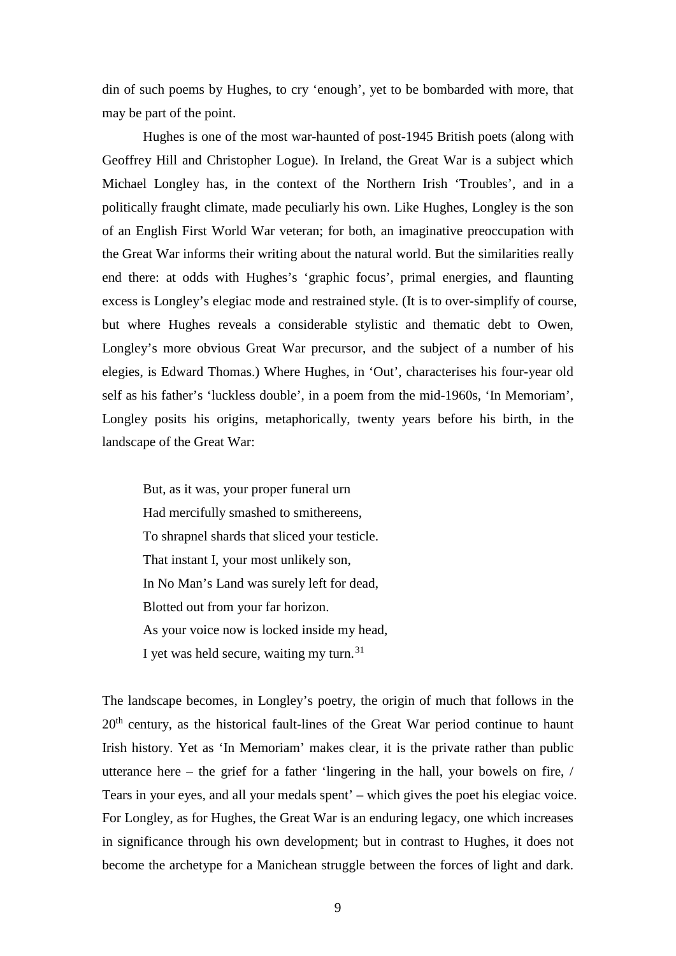din of such poems by Hughes, to cry 'enough', yet to be bombarded with more, that may be part of the point.

<span id="page-9-2"></span><span id="page-9-1"></span><span id="page-9-0"></span>Hughes is one of the most war-haunted of post-1945 British poets (along with Geoffrey Hill and Christopher Logue). In Ireland, the Great War is a subject which Michael Longley has, in the context of the Northern Irish 'Troubles', and in a politically fraught climate, made peculiarly his own. Like Hughes, Longley is the son of an English First World War veteran; for both, an imaginative preoccupation with the Great War informs their writing about the natural world. But the similarities really end there: at odds with Hughes's 'graphic focus', primal energies, and flaunting excess is Longley's elegiac mode and restrained style. (It is to over-simplify of course, but where Hughes reveals a considerable stylistic and thematic debt to Owen, Longley's more obvious Great War precursor, and the subject of a number of his elegies, is Edward Thomas.) Where Hughes, in 'Out', characterises his four-year old self as his father's 'luckless double', in a poem from the mid-1960s, 'In Memoriam', Longley posits his origins, metaphorically, twenty years before his birth, in the landscape of the Great War:

<span id="page-9-5"></span><span id="page-9-4"></span><span id="page-9-3"></span>But, as it was, your proper funeral urn Had mercifully smashed to smithereens, To shrapnel shards that sliced your testicle. That instant I, your most unlikely son, In No Man's Land was surely left for dead, Blotted out from your far horizon. As your voice now is locked inside my head, I yet was held secure, waiting my turn.<sup>[31](#page-10-0)</sup>

The landscape becomes, in Longley's poetry, the origin of much that follows in the  $20<sup>th</sup>$  century, as the historical fault-lines of the Great War period continue to haunt Irish history. Yet as 'In Memoriam' makes clear, it is the private rather than public utterance here – the grief for a father 'lingering in the hall, your bowels on fire, / Tears in your eyes, and all your medals spent' – which gives the poet his elegiac voice. For Longley, as for Hughes, the Great War is an enduring legacy, one which increases in significance through his own development; but in contrast to Hughes, it does not become the archetype for a Manichean struggle between the forces of light and dark.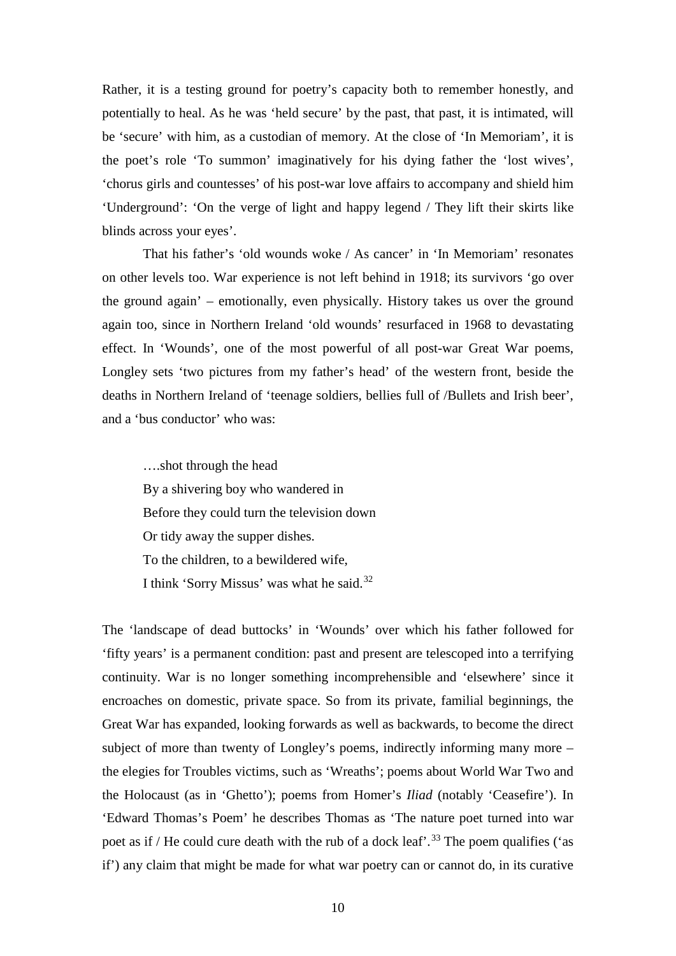Rather, it is a testing ground for poetry's capacity both to remember honestly, and potentially to heal. As he was 'held secure' by the past, that past, it is intimated, will be 'secure' with him, as a custodian of memory. At the close of 'In Memoriam', it is the poet's role 'To summon' imaginatively for his dying father the 'lost wives', 'chorus girls and countesses' of his post-war love affairs to accompany and shield him 'Underground': 'On the verge of light and happy legend / They lift their skirts like blinds across your eyes'.

That his father's 'old wounds woke / As cancer' in 'In Memoriam' resonates on other levels too. War experience is not left behind in 1918; its survivors 'go over the ground again' – emotionally, even physically. History takes us over the ground again too, since in Northern Ireland 'old wounds' resurfaced in 1968 to devastating effect. In 'Wounds', one of the most powerful of all post-war Great War poems, Longley sets 'two pictures from my father's head' of the western front, beside the deaths in Northern Ireland of 'teenage soldiers, bellies full of /Bullets and Irish beer', and a 'bus conductor' who was:

<span id="page-10-0"></span>….shot through the head By a shivering boy who wandered in Before they could turn the television down Or tidy away the supper dishes. To the children, to a bewildered wife, I think 'Sorry Missus' was what he said.[32](#page-11-0)

The 'landscape of dead buttocks' in 'Wounds' over which his father followed for 'fifty years' is a permanent condition: past and present are telescoped into a terrifying continuity. War is no longer something incomprehensible and 'elsewhere' since it encroaches on domestic, private space. So from its private, familial beginnings, the Great War has expanded, looking forwards as well as backwards, to become the direct subject of more than twenty of Longley's poems, indirectly informing many more – the elegies for Troubles victims, such as 'Wreaths'; poems about World War Two and the Holocaust (as in 'Ghetto'); poems from Homer's *Iliad* (notably 'Ceasefire'). In 'Edward Thomas's Poem' he describes Thomas as 'The nature poet turned into war poet as if / He could cure death with the rub of a dock leaf'.<sup>[33](#page-11-1)</sup> The poem qualifies ('as if') any claim that might be made for what war poetry can or cannot do, in its curative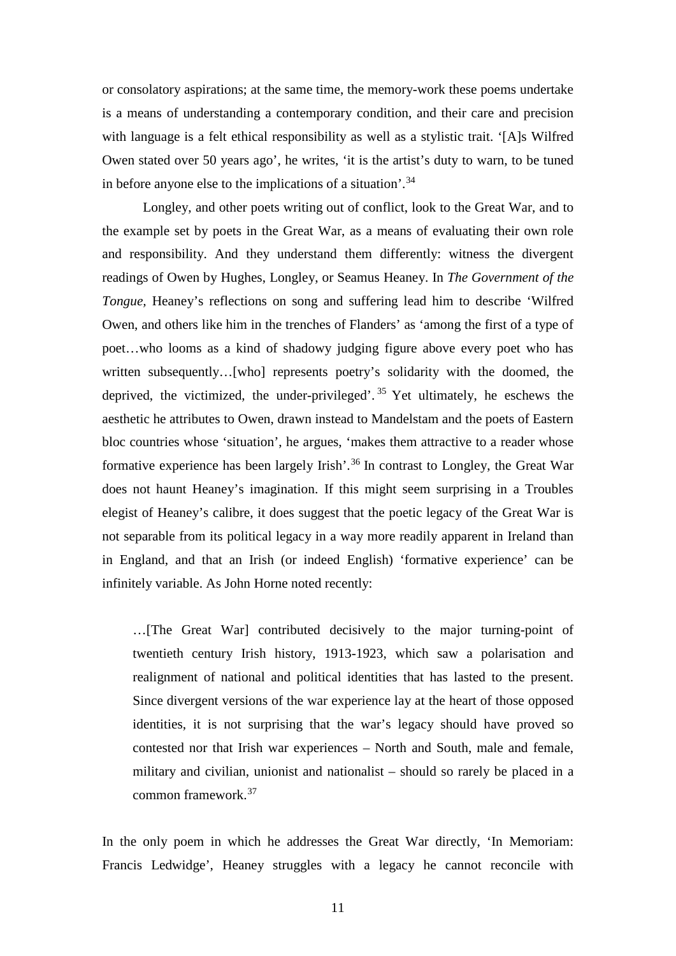or consolatory aspirations; at the same time, the memory-work these poems undertake is a means of understanding a contemporary condition, and their care and precision with language is a felt ethical responsibility as well as a stylistic trait. '[A]s Wilfred Owen stated over 50 years ago', he writes, 'it is the artist's duty to warn, to be tuned in before anyone else to the implications of a situation'.[34](#page-12-0)

Longley, and other poets writing out of conflict, look to the Great War, and to the example set by poets in the Great War, as a means of evaluating their own role and responsibility. And they understand them differently: witness the divergent readings of Owen by Hughes, Longley, or Seamus Heaney. In *The Government of the Tongue,* Heaney's reflections on song and suffering lead him to describe 'Wilfred Owen, and others like him in the trenches of Flanders' as 'among the first of a type of poet…who looms as a kind of shadowy judging figure above every poet who has written subsequently…[who] represents poetry's solidarity with the doomed, the deprived, the victimized, the under-privileged'.<sup>[35](#page-12-1)</sup> Yet ultimately, he eschews the aesthetic he attributes to Owen, drawn instead to Mandelstam and the poets of Eastern bloc countries whose 'situation', he argues, 'makes them attractive to a reader whose formative experience has been largely Irish'.[36](#page-12-2) In contrast to Longley, the Great War does not haunt Heaney's imagination. If this might seem surprising in a Troubles elegist of Heaney's calibre, it does suggest that the poetic legacy of the Great War is not separable from its political legacy in a way more readily apparent in Ireland than in England, and that an Irish (or indeed English) 'formative experience' can be infinitely variable. As John Horne noted recently:

<span id="page-11-1"></span><span id="page-11-0"></span>…[The Great War] contributed decisively to the major turning-point of twentieth century Irish history, 1913-1923, which saw a polarisation and realignment of national and political identities that has lasted to the present. Since divergent versions of the war experience lay at the heart of those opposed identities, it is not surprising that the war's legacy should have proved so contested nor that Irish war experiences – North and South, male and female, military and civilian, unionist and nationalist – should so rarely be placed in a common framework.[37](#page-12-3)

In the only poem in which he addresses the Great War directly, 'In Memoriam: Francis Ledwidge', Heaney struggles with a legacy he cannot reconcile with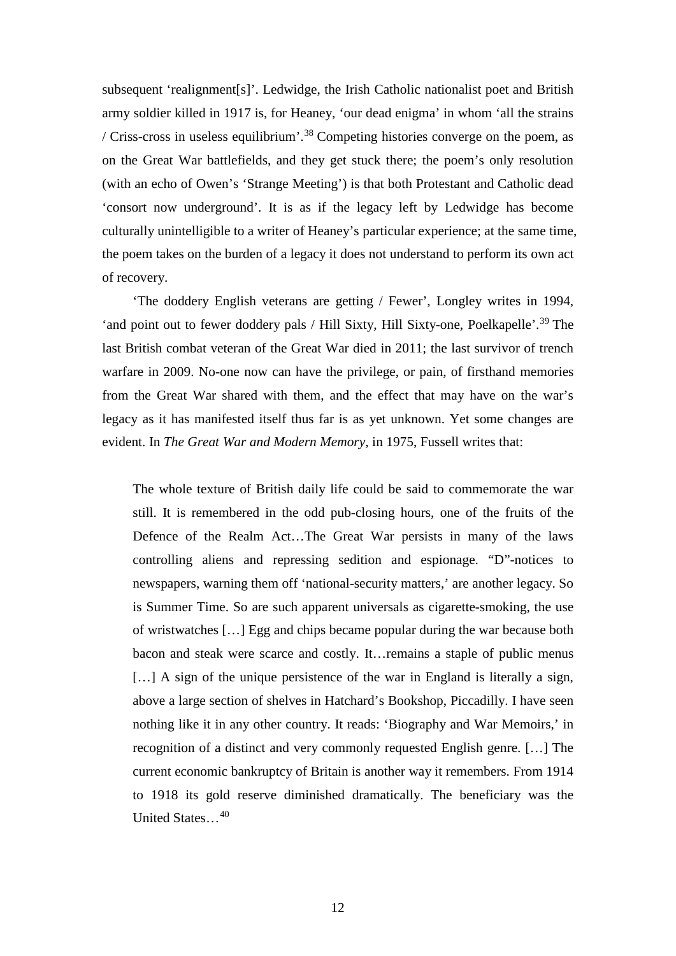subsequent 'realignment[s]'. Ledwidge, the Irish Catholic nationalist poet and British army soldier killed in 1917 is, for Heaney, 'our dead enigma' in whom 'all the strains / Criss-cross in useless equilibrium'.<sup>[38](#page-13-0)</sup> Competing histories converge on the poem, as on the Great War battlefields, and they get stuck there; the poem's only resolution (with an echo of Owen's 'Strange Meeting') is that both Protestant and Catholic dead 'consort now underground'. It is as if the legacy left by Ledwidge has become culturally unintelligible to a writer of Heaney's particular experience; at the same time, the poem takes on the burden of a legacy it does not understand to perform its own act of recovery.

'The doddery English veterans are getting / Fewer', Longley writes in 1994, 'and point out to fewer doddery pals / Hill Sixty, Hill Sixty-one, Poelkapelle'.<sup>[39](#page-13-1)</sup> The last British combat veteran of the Great War died in 2011; the last survivor of trench warfare in 2009. No-one now can have the privilege, or pain, of firsthand memories from the Great War shared with them, and the effect that may have on the war's legacy as it has manifested itself thus far is as yet unknown. Yet some changes are evident. In *The Great War and Modern Memory*, in 1975, Fussell writes that:

<span id="page-12-3"></span><span id="page-12-2"></span><span id="page-12-1"></span><span id="page-12-0"></span>The whole texture of British daily life could be said to commemorate the war still. It is remembered in the odd pub-closing hours, one of the fruits of the Defence of the Realm Act…The Great War persists in many of the laws controlling aliens and repressing sedition and espionage. "D"-notices to newspapers, warning them off 'national-security matters,' are another legacy. So is Summer Time. So are such apparent universals as cigarette-smoking, the use of wristwatches […] Egg and chips became popular during the war because both bacon and steak were scarce and costly. It…remains a staple of public menus [...] A sign of the unique persistence of the war in England is literally a sign, above a large section of shelves in Hatchard's Bookshop, Piccadilly. I have seen nothing like it in any other country. It reads: 'Biography and War Memoirs,' in recognition of a distinct and very commonly requested English genre. […] The current economic bankruptcy of Britain is another way it remembers. From 1914 to 1918 its gold reserve diminished dramatically. The beneficiary was the United States…[40](#page-13-2)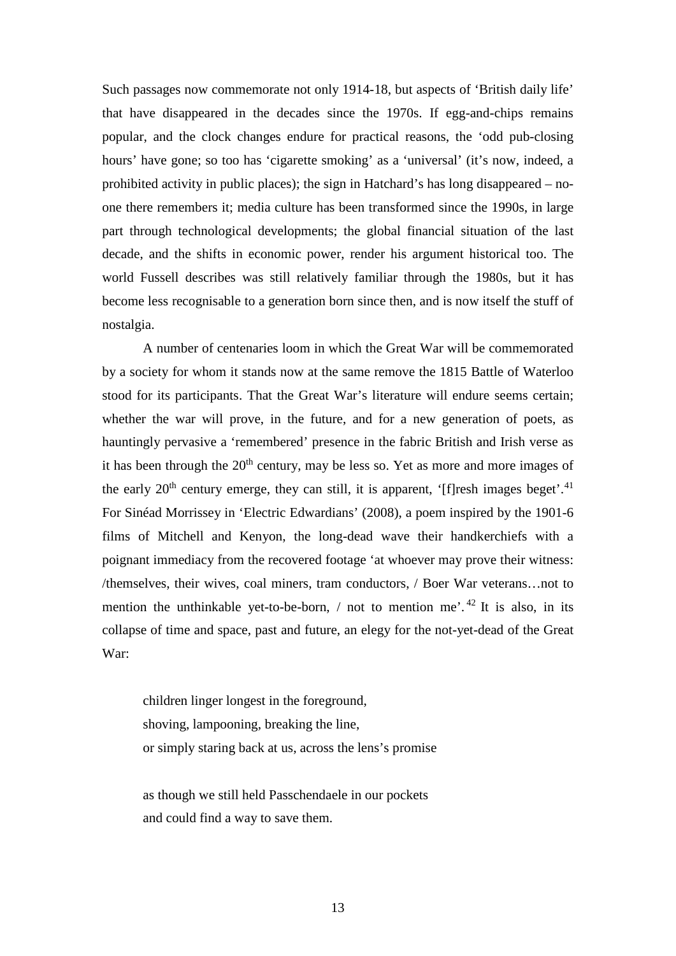Such passages now commemorate not only 1914-18, but aspects of 'British daily life' that have disappeared in the decades since the 1970s. If egg-and-chips remains popular, and the clock changes endure for practical reasons, the 'odd pub-closing hours' have gone; so too has 'cigarette smoking' as a 'universal' (it's now, indeed, a prohibited activity in public places); the sign in Hatchard's has long disappeared – noone there remembers it; media culture has been transformed since the 1990s, in large part through technological developments; the global financial situation of the last decade, and the shifts in economic power, render his argument historical too. The world Fussell describes was still relatively familiar through the 1980s, but it has become less recognisable to a generation born since then, and is now itself the stuff of nostalgia.

A number of centenaries loom in which the Great War will be commemorated by a society for whom it stands now at the same remove the 1815 Battle of Waterloo stood for its participants. That the Great War's literature will endure seems certain; whether the war will prove, in the future, and for a new generation of poets, as hauntingly pervasive a 'remembered' presence in the fabric British and Irish verse as it has been through the  $20<sup>th</sup>$  century, may be less so. Yet as more and more images of the early  $20<sup>th</sup>$  century emerge, they can still, it is apparent, '[f]resh images beget'.<sup>[41](#page-14-0)</sup> For Sinéad Morrissey in 'Electric Edwardians' (2008), a poem inspired by the 1901-6 films of Mitchell and Kenyon, the long-dead wave their handkerchiefs with a poignant immediacy from the recovered footage 'at whoever may prove their witness: /themselves, their wives, coal miners, tram conductors, / Boer War veterans…not to mention the unthinkable yet-to-be-born,  $/$  not to mention me'.<sup>[42](#page-14-1)</sup> It is also, in its collapse of time and space, past and future, an elegy for the not-yet-dead of the Great War:

<span id="page-13-2"></span><span id="page-13-1"></span><span id="page-13-0"></span>children linger longest in the foreground, shoving, lampooning, breaking the line, or simply staring back at us, across the lens's promise

as though we still held Passchendaele in our pockets and could find a way to save them.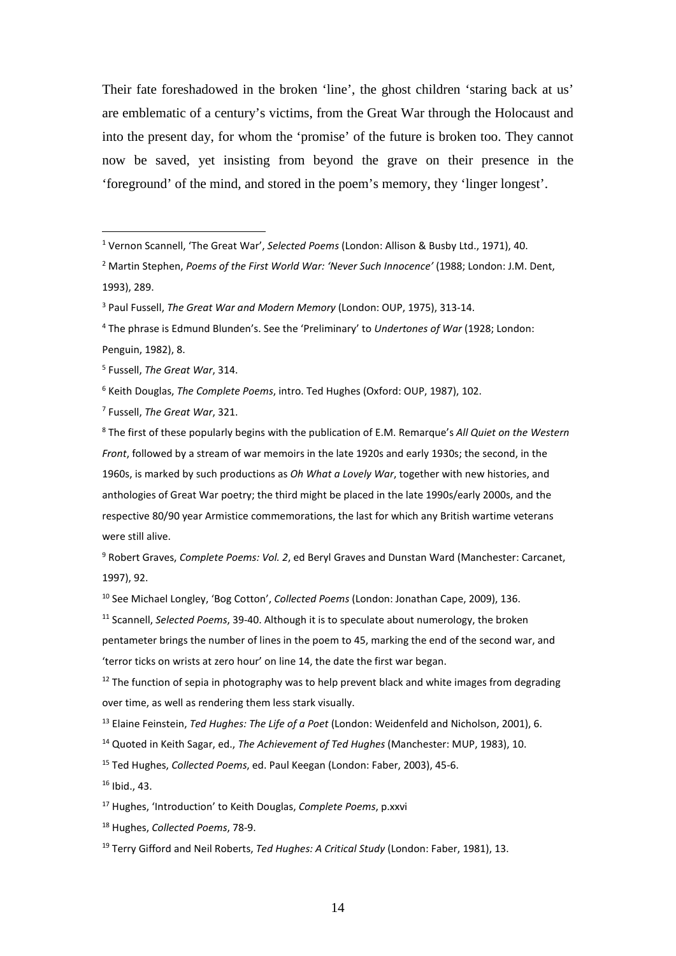Their fate foreshadowed in the broken 'line', the ghost children 'staring back at us' are emblematic of a century's victims, from the Great War through the Holocaust and into the present day, for whom the 'promise' of the future is broken too. They cannot now be saved, yet insisting from beyond the grave on their presence in the 'foreground' of the mind, and stored in the poem's memory, they 'linger longest'.

<u>.</u>

<sup>6</sup> Keith Douglas, *The Complete Poems*, intro. Ted Hughes (Oxford: OUP, 1987), 102.

<sup>7</sup> Fussell, *The Great War*, 321.

<sup>8</sup> The first of these popularly begins with the publication of E.M. Remarque's *All Quiet on the Western Front*, followed by a stream of war memoirs in the late 1920s and early 1930s; the second, in the 1960s, is marked by such productions as *Oh What a Lovely War*, together with new histories, and anthologies of Great War poetry; the third might be placed in the late 1990s/early 2000s, and the respective 80/90 year Armistice commemorations, the last for which any British wartime veterans were still alive.

<sup>9</sup> Robert Graves, *Complete Poems: Vol. 2*, ed Beryl Graves and Dunstan Ward (Manchester: Carcanet, 1997), 92.

<sup>11</sup> Scannell, *Selected Poems*, 39-40. Although it is to speculate about numerology, the broken pentameter brings the number of lines in the poem to 45, marking the end of the second war, and 'terror ticks on wrists at zero hour' on line 14, the date the first war began.

 $12$  The function of sepia in photography was to help prevent black and white images from degrading over time, as well as rendering them less stark visually.

<span id="page-14-1"></span><span id="page-14-0"></span><sup>13</sup> Elaine Feinstein, *Ted Hughes: The Life of a Poet* (London: Weidenfeld and Nicholson, 2001), 6.

<sup>14</sup> Quoted in Keith Sagar, ed., *The Achievement of Ted Hughes* (Manchester: MUP, 1983), 10.

<sup>15</sup> Ted Hughes, *Collected Poems*, ed. Paul Keegan (London: Faber, 2003), 45-6.

<sup>16</sup> Ibid., 43.

<sup>17</sup> Hughes, 'Introduction' to Keith Douglas, *Complete Poems*, p.xxvi

<sup>18</sup> Hughes, *Collected Poems*, 78-9.

<sup>19</sup> Terry Gifford and Neil Roberts, *Ted Hughes: A Critical Study* (London: Faber, 1981), 13.

<sup>1</sup> Vernon Scannell, 'The Great War', *Selected Poems* (London: Allison & Busby Ltd., 1971), 40.

<sup>2</sup> Martin Stephen, *Poems of the First World War: 'Never Such Innocence'* (1988; London: J.M. Dent, 1993), 289.

<sup>3</sup> Paul Fussell, *The Great War and Modern Memory* (London: OUP, 1975), 313-14.

<sup>4</sup> The phrase is Edmund Blunden's. See the 'Preliminary' to *Undertones of War* (1928; London: Penguin, 1982), 8.

<sup>5</sup> Fussell, *The Great War*, 314.

<sup>10</sup> See Michael Longley, 'Bog Cotton', *Collected Poems* (London: Jonathan Cape, 2009), 136.